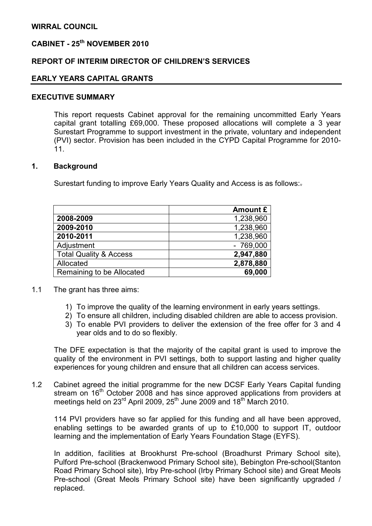# CABINET - 25<sup>th</sup> NOVEMBER 2010

#### REPORT OF INTERIM DIRECTOR OF CHILDREN'S SERVICES

#### EARLY YEARS CAPITAL GRANTS

#### EXECUTIVE SUMMARY

This report requests Cabinet approval for the remaining uncommitted Early Years capital grant totalling £69,000. These proposed allocations will complete a 3 year Surestart Programme to support investment in the private, voluntary and independent (PVI) sector. Provision has been included in the CYPD Capital Programme for 2010- 11.

#### 1. Background

Surestart funding to improve Early Years Quality and Access is as follows:.

|                                   | Amount £   |
|-----------------------------------|------------|
| 2008-2009                         | 1,238,960  |
| 2009-2010                         | 1,238,960  |
| 2010-2011                         | 1,238,960  |
| Adjustment                        | $-769,000$ |
| <b>Total Quality &amp; Access</b> | 2,947,880  |
| Allocated                         | 2,878,880  |
| Remaining to be Allocated         | 69,000     |

- 1.1 The grant has three aims:
	- 1) To improve the quality of the learning environment in early years settings.
	- 2) To ensure all children, including disabled children are able to access provision.
	- 3) To enable PVI providers to deliver the extension of the free offer for 3 and 4 year olds and to do so flexibly.

The DFE expectation is that the majority of the capital grant is used to improve the quality of the environment in PVI settings, both to support lasting and higher quality experiences for young children and ensure that all children can access services.

1.2 Cabinet agreed the initial programme for the new DCSF Early Years Capital funding stream on 16<sup>th</sup> October 2008 and has since approved applications from providers at meetings held on 23<sup>rd</sup> April 2009, 25<sup>th</sup> June 2009 and 18<sup>th</sup> March 2010.

114 PVI providers have so far applied for this funding and all have been approved, enabling settings to be awarded grants of up to £10,000 to support IT, outdoor learning and the implementation of Early Years Foundation Stage (EYFS).

In addition, facilities at Brookhurst Pre-school (Broadhurst Primary School site), Pulford Pre-school (Brackenwood Primary School site), Bebington Pre-school(Stanton Road Primary School site), Irby Pre-school (Irby Primary School site) and Great Meols Pre-school (Great Meols Primary School site) have been significantly upgraded / replaced.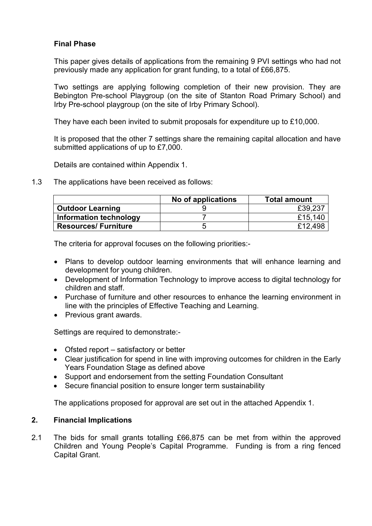## Final Phase

This paper gives details of applications from the remaining 9 PVI settings who had not previously made any application for grant funding, to a total of £66,875.

Two settings are applying following completion of their new provision. They are Bebington Pre-school Playgroup (on the site of Stanton Road Primary School) and Irby Pre-school playgroup (on the site of Irby Primary School).

They have each been invited to submit proposals for expenditure up to £10,000.

It is proposed that the other 7 settings share the remaining capital allocation and have submitted applications of up to £7,000.

Details are contained within Appendix 1.

1.3 The applications have been received as follows:

|                             | No of applications | <b>Total amount</b> |
|-----------------------------|--------------------|---------------------|
| <b>Outdoor Learning</b>     |                    | £39,237             |
| Information technology      |                    | £15,140             |
| <b>Resources/ Furniture</b> |                    | £12,498             |

The criteria for approval focuses on the following priorities:-

- Plans to develop outdoor learning environments that will enhance learning and development for young children.
- Development of Information Technology to improve access to digital technology for children and staff.
- Purchase of furniture and other resources to enhance the learning environment in line with the principles of Effective Teaching and Learning.
- Previous grant awards.

Settings are required to demonstrate:-

- Ofsted report satisfactory or better
- Clear justification for spend in line with improving outcomes for children in the Early Years Foundation Stage as defined above
- Support and endorsement from the setting Foundation Consultant
- Secure financial position to ensure longer term sustainability

The applications proposed for approval are set out in the attached Appendix 1.

### 2. Financial Implications

2.1 The bids for small grants totalling £66,875 can be met from within the approved Children and Young People's Capital Programme. Funding is from a ring fenced Capital Grant.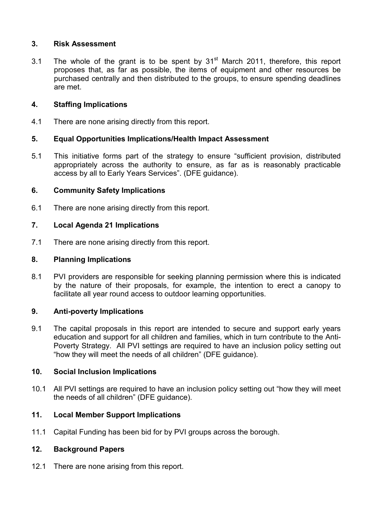## 3. Risk Assessment

3.1 The whole of the grant is to be spent by  $31<sup>st</sup>$  March 2011, therefore, this report proposes that, as far as possible, the items of equipment and other resources be purchased centrally and then distributed to the groups, to ensure spending deadlines are met.

## 4. Staffing Implications

4.1 There are none arising directly from this report.

## 5. Equal Opportunities Implications/Health Impact Assessment

5.1 This initiative forms part of the strategy to ensure "sufficient provision, distributed appropriately across the authority to ensure, as far as is reasonably practicable access by all to Early Years Services". (DFE guidance).

## 6. Community Safety Implications

6.1 There are none arising directly from this report.

## 7. Local Agenda 21 Implications

7.1 There are none arising directly from this report.

#### 8. Planning Implications

8.1 PVI providers are responsible for seeking planning permission where this is indicated by the nature of their proposals, for example, the intention to erect a canopy to facilitate all year round access to outdoor learning opportunities.

#### 9. Anti-poverty Implications

9.1 The capital proposals in this report are intended to secure and support early years education and support for all children and families, which in turn contribute to the Anti-Poverty Strategy. All PVI settings are required to have an inclusion policy setting out "how they will meet the needs of all children" (DFE guidance).

#### 10. Social Inclusion Implications

10.1 All PVI settings are required to have an inclusion policy setting out "how they will meet the needs of all children" (DFE guidance).

# 11. Local Member Support Implications

11.1 Capital Funding has been bid for by PVI groups across the borough.

### 12. Background Papers

12.1 There are none arising from this report.